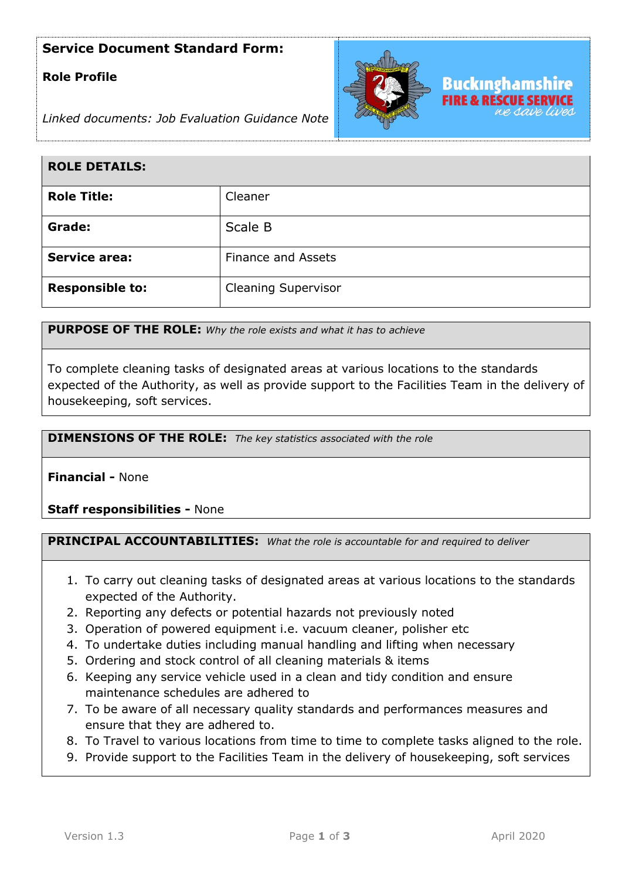## **Service Document Standard Form:**

## **Role Profile**



*Linked documents: Job Evaluation Guidance Note*

| <b>ROLE DETAILS:</b>   |                            |
|------------------------|----------------------------|
| <b>Role Title:</b>     | Cleaner                    |
| Grade:                 | Scale B                    |
| <b>Service area:</b>   | <b>Finance and Assets</b>  |
| <b>Responsible to:</b> | <b>Cleaning Supervisor</b> |

**PURPOSE OF THE ROLE:** *Why the role exists and what it has to achieve* 

To complete cleaning tasks of designated areas at various locations to the standards expected of the Authority, as well as provide support to the Facilities Team in the delivery of housekeeping, soft services.

**DIMENSIONS OF THE ROLE:** *The key statistics associated with the role*

**Financial -** None

**Staff responsibilities -** None

**PRINCIPAL ACCOUNTABILITIES:** *What the role is accountable for and required to deliver*

- 1. To carry out cleaning tasks of designated areas at various locations to the standards expected of the Authority.
- 2. Reporting any defects or potential hazards not previously noted
- 3. Operation of powered equipment i.e. vacuum cleaner, polisher etc
- 4. To undertake duties including manual handling and lifting when necessary
- 5. Ordering and stock control of all cleaning materials & items
- 6. Keeping any service vehicle used in a clean and tidy condition and ensure maintenance schedules are adhered to
- 7. To be aware of all necessary quality standards and performances measures and ensure that they are adhered to.
- 8. To Travel to various locations from time to time to complete tasks aligned to the role.
- 9. Provide support to the Facilities Team in the delivery of housekeeping, soft services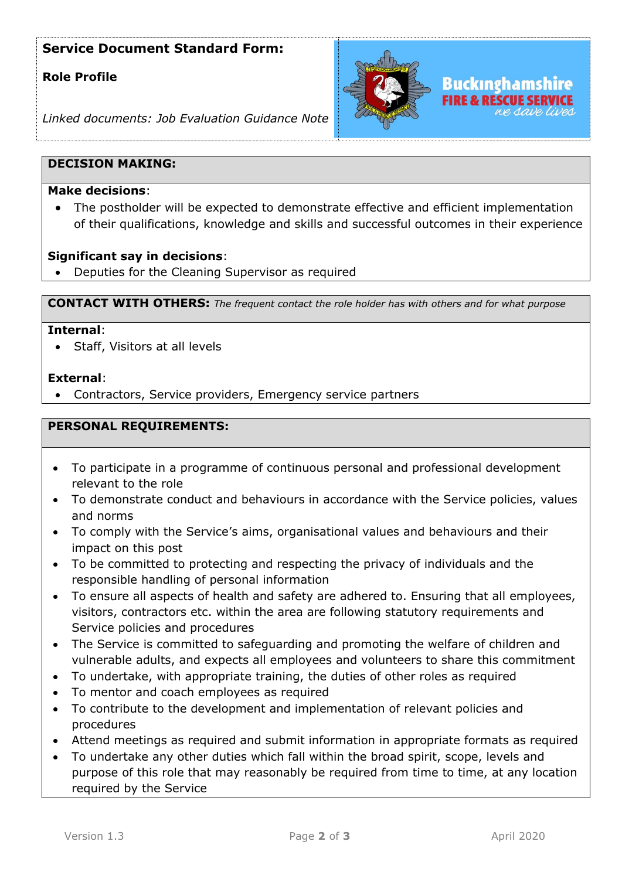# **Service Document Standard Form:**

## **Role Profile**



*Linked documents: Job Evaluation Guidance Note*

### **DECISION MAKING:**

### **Make decisions**:

The postholder will be expected to demonstrate effective and efficient implementation of their qualifications, knowledge and skills and successful outcomes in their experience

### **Significant say in decisions**:

• Deputies for the Cleaning Supervisor as required

**CONTACT WITH OTHERS:** *The frequent contact the role holder has with others and for what purpose* 

#### **Internal**:

• Staff, Visitors at all levels

### **External**:

• Contractors, Service providers, Emergency service partners

### **PERSONAL REQUIREMENTS:**

- To participate in a programme of continuous personal and professional development relevant to the role
- To demonstrate conduct and behaviours in accordance with the Service policies, values and norms
- To comply with the Service's aims, organisational values and behaviours and their impact on this post
- To be committed to protecting and respecting the privacy of individuals and the responsible handling of personal information
- To ensure all aspects of health and safety are adhered to. Ensuring that all employees, visitors, contractors etc. within the area are following statutory requirements and Service policies and procedures
- The Service is committed to safeguarding and promoting the welfare of children and vulnerable adults, and expects all employees and volunteers to share this commitment
- To undertake, with appropriate training, the duties of other roles as required
- To mentor and coach employees as required
- To contribute to the development and implementation of relevant policies and procedures
- Attend meetings as required and submit information in appropriate formats as required
- To undertake any other duties which fall within the broad spirit, scope, levels and purpose of this role that may reasonably be required from time to time, at any location required by the Service